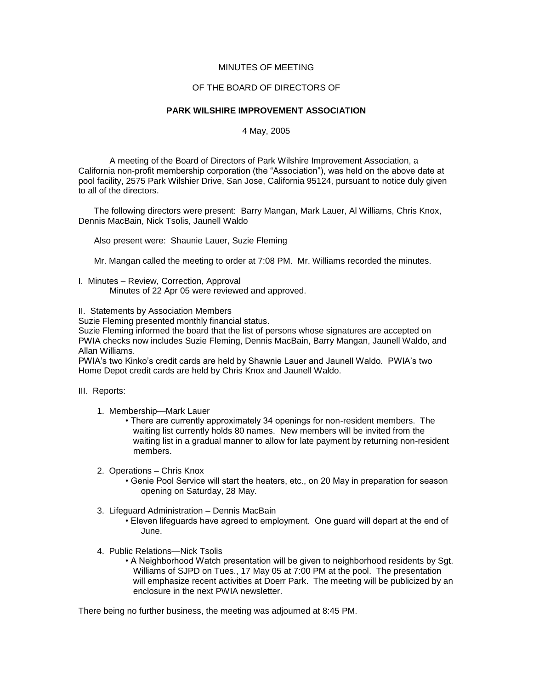## MINUTES OF MEETING

## OF THE BOARD OF DIRECTORS OF

## **PARK WILSHIRE IMPROVEMENT ASSOCIATION**

## 4 May, 2005

A meeting of the Board of Directors of Park Wilshire Improvement Association, a California non-profit membership corporation (the "Association"), was held on the above date at pool facility, 2575 Park Wilshier Drive, San Jose, California 95124, pursuant to notice duly given to all of the directors.

The following directors were present: Barry Mangan, Mark Lauer, Al Williams, Chris Knox, Dennis MacBain, Nick Tsolis, Jaunell Waldo

Also present were: Shaunie Lauer, Suzie Fleming

Mr. Mangan called the meeting to order at 7:08 PM. Mr. Williams recorded the minutes.

- I. Minutes Review, Correction, Approval Minutes of 22 Apr 05 were reviewed and approved.
- II. Statements by Association Members

Suzie Fleming presented monthly financial status.

Suzie Fleming informed the board that the list of persons whose signatures are accepted on PWIA checks now includes Suzie Fleming, Dennis MacBain, Barry Mangan, Jaunell Waldo, and Allan Williams.

PWIA's two Kinko's credit cards are held by Shawnie Lauer and Jaunell Waldo. PWIA's two Home Depot credit cards are held by Chris Knox and Jaunell Waldo.

- III. Reports:
	- 1. Membership—Mark Lauer
		- There are currently approximately 34 openings for non-resident members. The waiting list currently holds 80 names. New members will be invited from the waiting list in a gradual manner to allow for late payment by returning non-resident members.
	- 2. Operations Chris Knox
		- Genie Pool Service will start the heaters, etc., on 20 May in preparation for season opening on Saturday, 28 May.
	- 3. Lifeguard Administration Dennis MacBain
		- Eleven lifeguards have agreed to employment. One guard will depart at the end of June.
	- 4. Public Relations—Nick Tsolis
		- A Neighborhood Watch presentation will be given to neighborhood residents by Sgt. Williams of SJPD on Tues., 17 May 05 at 7:00 PM at the pool. The presentation will emphasize recent activities at Doerr Park. The meeting will be publicized by an enclosure in the next PWIA newsletter.

There being no further business, the meeting was adjourned at 8:45 PM.